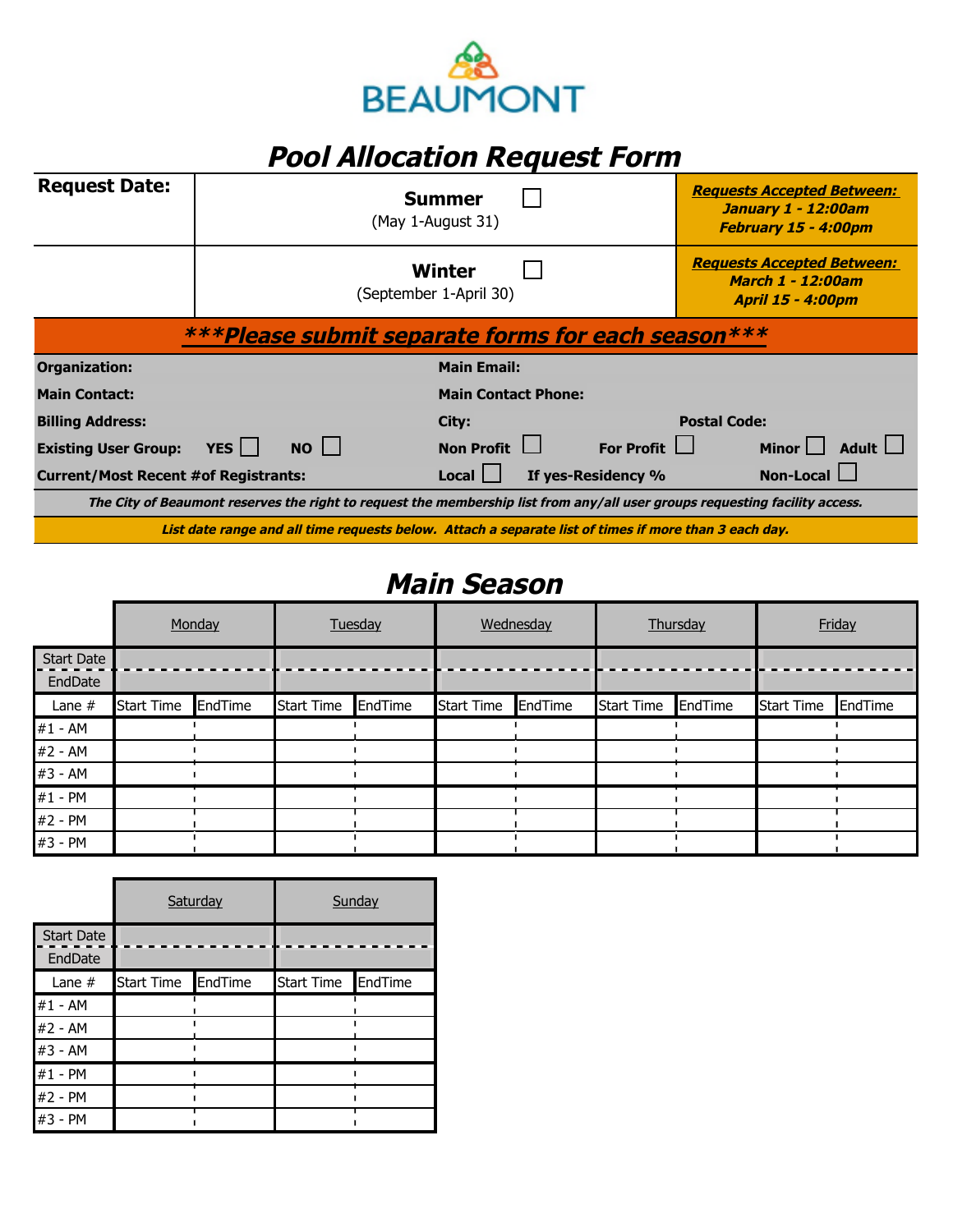

## **Pool Allocation Request Form**

| <b>Request Date:</b>                        |                                                                                                       |                                                                                                                             | <b>Summer</b><br>(May 1-August 31) |  |                    |                     | <b>Requests Accepted Between:</b><br><b>January 1 - 12:00am</b><br>February 15 - 4:00pm   |  |  |
|---------------------------------------------|-------------------------------------------------------------------------------------------------------|-----------------------------------------------------------------------------------------------------------------------------|------------------------------------|--|--------------------|---------------------|-------------------------------------------------------------------------------------------|--|--|
|                                             |                                                                                                       |                                                                                                                             | Winter<br>(September 1-April 30)   |  |                    |                     | <b>Requests Accepted Between:</b><br><b>March 1 - 12:00am</b><br><b>April 15 - 4:00pm</b> |  |  |
|                                             |                                                                                                       | ***Please submit separate forms for each season***                                                                          |                                    |  |                    |                     |                                                                                           |  |  |
| Organization:                               |                                                                                                       |                                                                                                                             | <b>Main Email:</b>                 |  |                    |                     |                                                                                           |  |  |
| <b>Main Contact:</b>                        |                                                                                                       |                                                                                                                             | <b>Main Contact Phone:</b>         |  |                    |                     |                                                                                           |  |  |
| <b>Billing Address:</b>                     |                                                                                                       |                                                                                                                             | City:                              |  |                    | <b>Postal Code:</b> |                                                                                           |  |  |
| <b>Existing User Group:</b>                 | YES                                                                                                   | $NO$                                                                                                                        | Non Profit $\Box$                  |  | For Profit $\Box$  |                     | Minor $\Box$ Adult $\Box$                                                                 |  |  |
| <b>Current/Most Recent #of Registrants:</b> |                                                                                                       |                                                                                                                             | Local I                            |  | If yes-Residency % |                     | Non-Local                                                                                 |  |  |
|                                             |                                                                                                       | The City of Beaumont reserves the right to request the membership list from any/all user groups requesting facility access. |                                    |  |                    |                     |                                                                                           |  |  |
|                                             | List date range and all time requests below. Attach a separate list of times if more than 3 each day. |                                                                                                                             |                                    |  |                    |                     |                                                                                           |  |  |

## **Main Season**

|                              | Monday            |         | Tuesday           |         | Wednesday         |         | Thursday          |         | Friday            |         |
|------------------------------|-------------------|---------|-------------------|---------|-------------------|---------|-------------------|---------|-------------------|---------|
| <b>Start Date</b><br>EndDate |                   |         |                   |         |                   |         |                   |         |                   |         |
| Lane $#$                     | <b>Start Time</b> | EndTime | <b>Start Time</b> | EndTime | <b>Start Time</b> | EndTime | <b>Start Time</b> | EndTime | <b>Start Time</b> | EndTime |
| $#1 - AM$                    |                   |         |                   |         |                   |         |                   |         |                   |         |
| #2 - AM                      |                   |         |                   |         |                   |         |                   |         |                   |         |
| #3 - AM                      |                   |         |                   |         |                   |         |                   |         |                   |         |
| #1 - PM                      |                   |         |                   |         |                   |         |                   |         |                   |         |
| #2 - PM                      |                   |         |                   |         |                   |         |                   |         |                   |         |
| #3 - PM                      |                   |         |                   |         |                   |         |                   |         |                   |         |

|                              |                   | Saturday | Sunday            |         |  |  |
|------------------------------|-------------------|----------|-------------------|---------|--|--|
| <b>Start Date</b><br>EndDate |                   |          |                   |         |  |  |
| Lane $#$                     | <b>Start Time</b> | EndTime  | <b>Start Time</b> | EndTime |  |  |
| #1 - AM                      |                   |          |                   |         |  |  |
| #2 - AM                      |                   |          |                   |         |  |  |
| #3 - AM                      |                   |          |                   |         |  |  |
| #1 - PM                      |                   |          |                   |         |  |  |
| #2 - PM                      |                   |          |                   |         |  |  |
| #3 - PM                      |                   |          |                   |         |  |  |